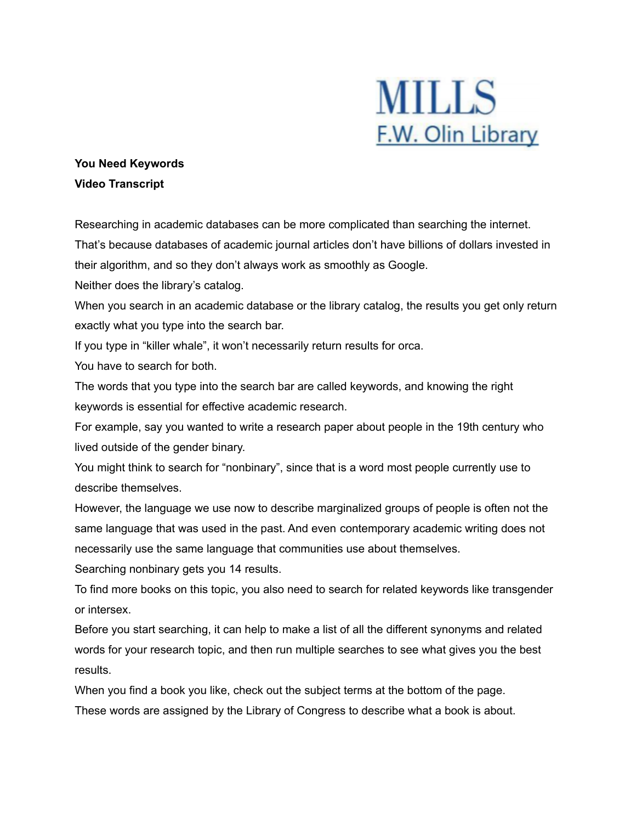

## **You Need Keywords Video Transcript**

Researching in academic databases can be more complicated than searching the internet.

That's because databases of academic journal articles don't have billions of dollars invested in their algorithm, and so they don't always work as smoothly as Google.

Neither does the library's catalog.

When you search in an academic database or the library catalog, the results you get only return exactly what you type into the search bar.

If you type in "killer whale", it won't necessarily return results for orca.

You have to search for both.

The words that you type into the search bar are called keywords, and knowing the right keywords is essential for effective academic research.

For example, say you wanted to write a research paper about people in the 19th century who lived outside of the gender binary.

You might think to search for "nonbinary", since that is a word most people currently use to describe themselves.

However, the language we use now to describe marginalized groups of people is often not the same language that was used in the past. And even contemporary academic writing does not necessarily use the same language that communities use about themselves.

Searching nonbinary gets you 14 results.

To find more books on this topic, you also need to search for related keywords like transgender or intersex.

Before you start searching, it can help to make a list of all the different synonyms and related words for your research topic, and then run multiple searches to see what gives you the best results.

When you find a book you like, check out the subject terms at the bottom of the page. These words are assigned by the Library of Congress to describe what a book is about.